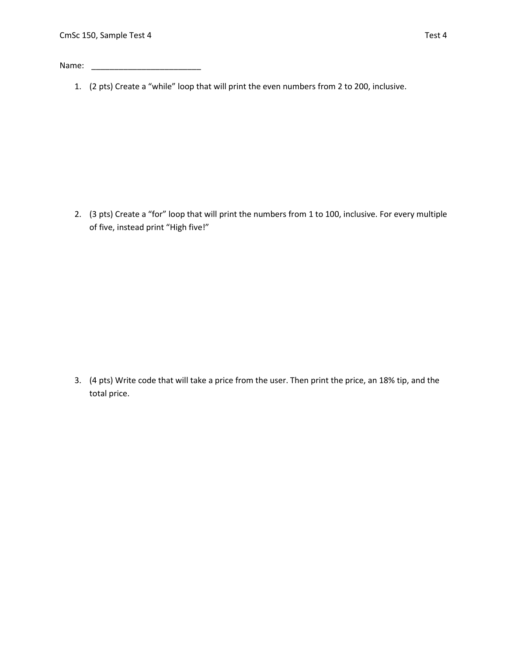Name: \_\_\_\_\_\_\_\_\_\_\_\_\_\_\_\_\_\_\_\_\_\_\_\_

1. (2 pts) Create a "while" loop that will print the even numbers from 2 to 200, inclusive.

2. (3 pts) Create a "for" loop that will print the numbers from 1 to 100, inclusive. For every multiple of five, instead print "High five!"

3. (4 pts) Write code that will take a price from the user. Then print the price, an 18% tip, and the total price.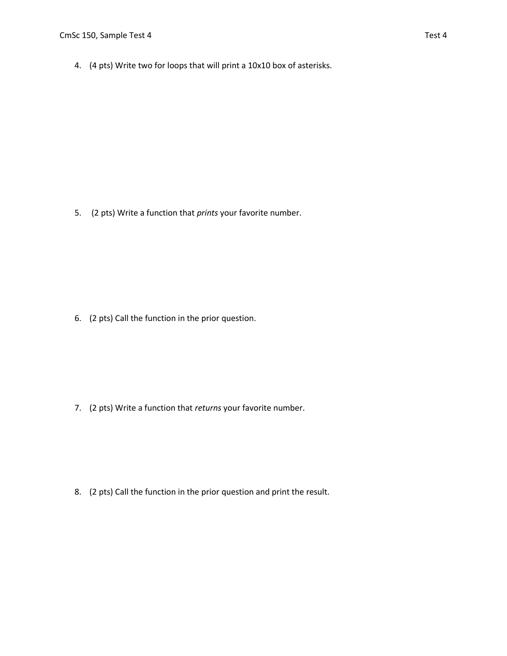4. (4 pts) Write two for loops that will print a 10x10 box of asterisks.

5. (2 pts) Write a function that *prints* your favorite number.

6. (2 pts) Call the function in the prior question.

7. (2 pts) Write a function that *returns* your favorite number.

8. (2 pts) Call the function in the prior question and print the result.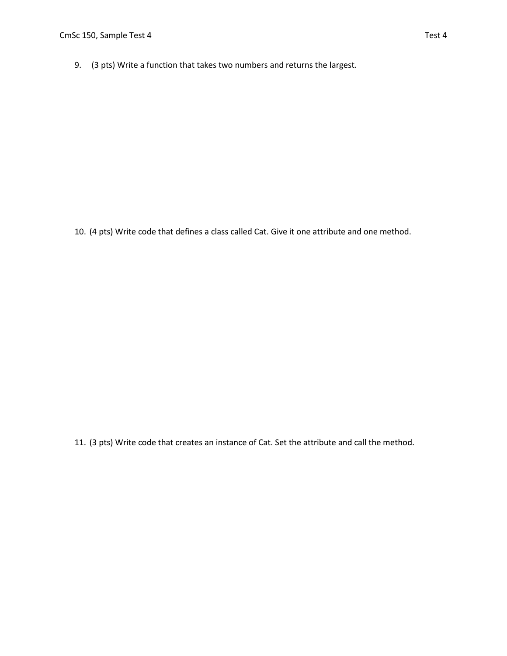9. (3 pts) Write a function that takes two numbers and returns the largest.

10. (4 pts) Write code that defines a class called Cat. Give it one attribute and one method.

11. (3 pts) Write code that creates an instance of Cat. Set the attribute and call the method.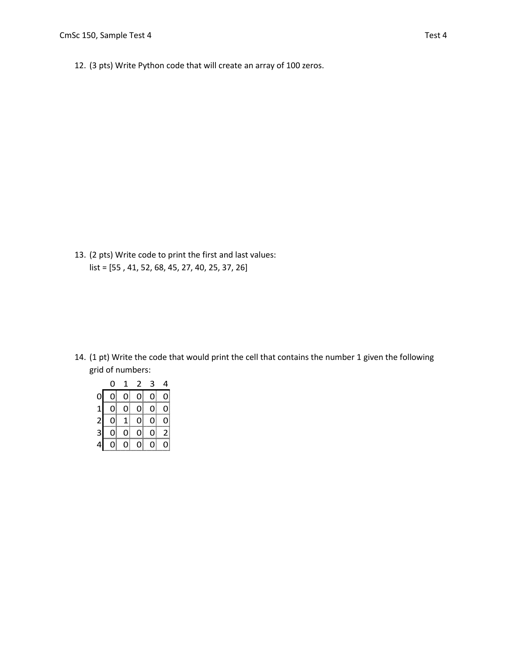12. (3 pts) Write Python code that will create an array of 100 zeros.

13. (2 pts) Write code to print the first and last values: list = [55 , 41, 52, 68, 45, 27, 40, 25, 37, 26]

14. (1 pt) Write the code that would print the cell that contains the number 1 given the following grid of numbers:

|              | 0 | 1  | 2              | 3 | 4            |
|--------------|---|----|----------------|---|--------------|
| 0            | 0 | 0  | $\overline{0}$ | 0 | 0            |
| $\mathbf{1}$ | 0 | 0  | 0              | 0 | $\mathbf{0}$ |
| $\mathbf{z}$ | 0 | 1  | 0              | 0 | 0            |
| 3            | 0 | 0) | 0              | 0 | 2            |
|              | 0 | 0) | 0              | 0 | 0            |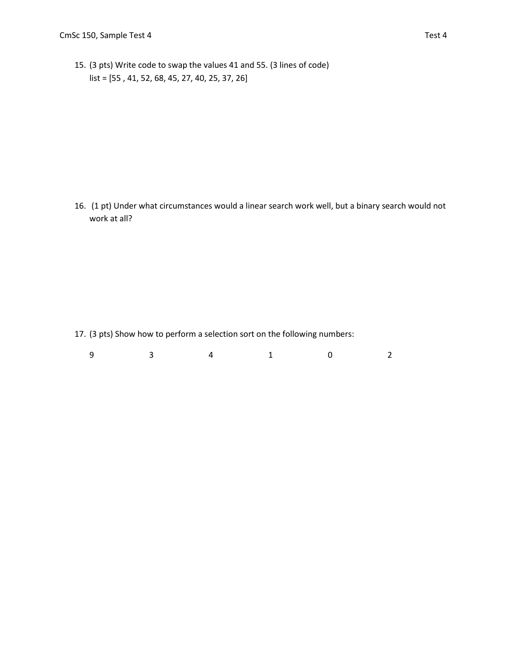15. (3 pts) Write code to swap the values 41 and 55. (3 lines of code) list = [55 , 41, 52, 68, 45, 27, 40, 25, 37, 26]

16. (1 pt) Under what circumstances would a linear search work well, but a binary search would not work at all?

17. (3 pts) Show how to perform a selection sort on the following numbers:

| a<br>┘ |  |  |  |
|--------|--|--|--|
|        |  |  |  |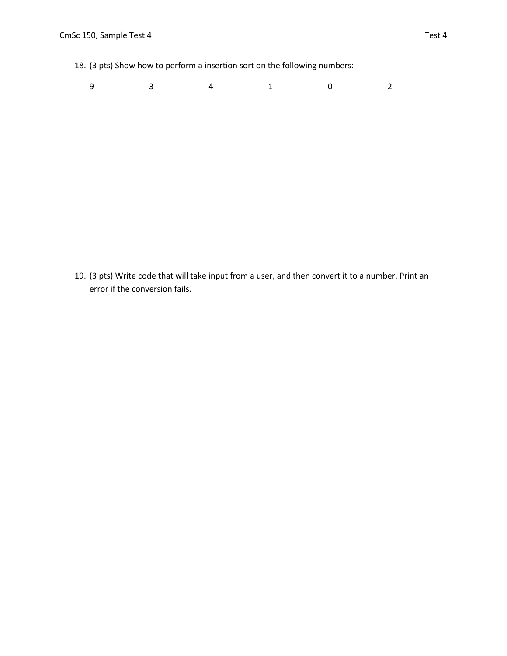18. (3 pts) Show how to perform a insertion sort on the following numbers:

| 9 3 4 1 0 2 |  |
|-------------|--|
|-------------|--|

19. (3 pts) Write code that will take input from a user, and then convert it to a number. Print an error if the conversion fails.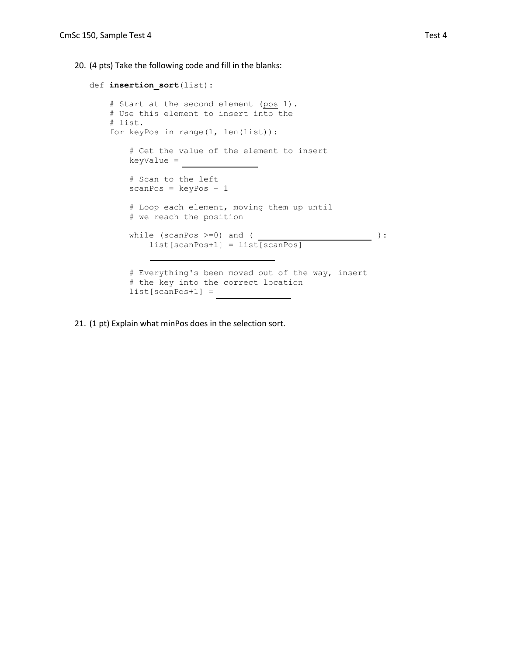20. (4 pts) Take the following code and fill in the blanks:

```
def insertion_sort(list):
    # Start at the second element (pos 1).
     # Use this element to insert into the
    # list.
    for keyPos in range(1, len(list)):
         # Get the value of the element to insert
         keyValue = 
         # Scan to the left
        scanPos = keyPos - 1 # Loop each element, moving them up until
         # we reach the position
        while (scanPos >=0) and ( <u>___________________</u> ):
            list[scanPos+1] = list[scanPos]
         # Everything's been moved out of the way, insert
         # the key into the correct location
         list[scanPos+1] =
```
21. (1 pt) Explain what minPos does in the selection sort.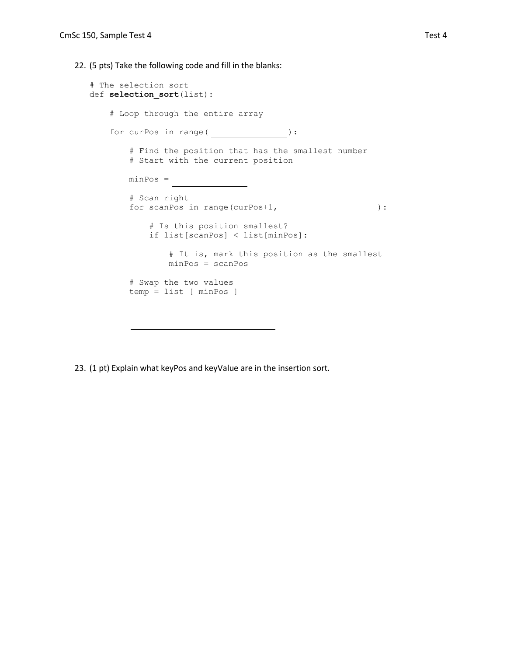22. (5 pts) Take the following code and fill in the blanks:

```
# The selection sort
def selection_sort(list):
    # Loop through the entire array
   for curPos in range( ):
        # Find the position that has the smallest number
        # Start with the current position
       minPos = # Scan right
       for scanPos in range(curPos+1, _________________):
            # Is this position smallest?
            if list[scanPos] < list[minPos]:
                # It is, mark this position as the smallest
                minPos = scanPos
        # Swap the two values
        temp = list [ minPos ]
```
23. (1 pt) Explain what keyPos and keyValue are in the insertion sort.